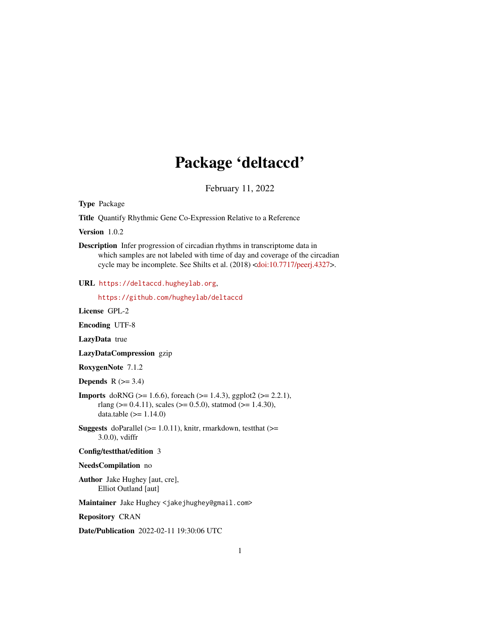# Package 'deltaccd'

February 11, 2022

<span id="page-0-0"></span>Type Package

Title Quantify Rhythmic Gene Co-Expression Relative to a Reference

Version 1.0.2

Description Infer progression of circadian rhythms in transcriptome data in which samples are not labeled with time of day and coverage of the circadian cycle may be incomplete. See Shilts et al. (2018) [<doi:10.7717/peerj.4327>](https://doi.org/10.7717/peerj.4327).

#### URL <https://deltaccd.hugheylab.org>,

<https://github.com/hugheylab/deltaccd>

License GPL-2

Encoding UTF-8

LazyData true

LazyDataCompression gzip

RoxygenNote 7.1.2

**Depends**  $R$  ( $>= 3.4$ )

**Imports** doRNG ( $>= 1.6.6$ ), foreach ( $>= 1.4.3$ ), ggplot2 ( $>= 2.2.1$ ), rlang ( $> = 0.4.11$ ), scales ( $> = 0.5.0$ ), statmod ( $> = 1.4.30$ ), data.table  $(>= 1.14.0)$ 

**Suggests** doParallel ( $>= 1.0.11$ ), knitr, rmarkdown, test that ( $>=$ 3.0.0), vdiffr

#### Config/testthat/edition 3

#### NeedsCompilation no

Author Jake Hughey [aut, cre], Elliot Outland [aut]

Maintainer Jake Hughey <jakejhughey@gmail.com>

Repository CRAN

Date/Publication 2022-02-11 19:30:06 UTC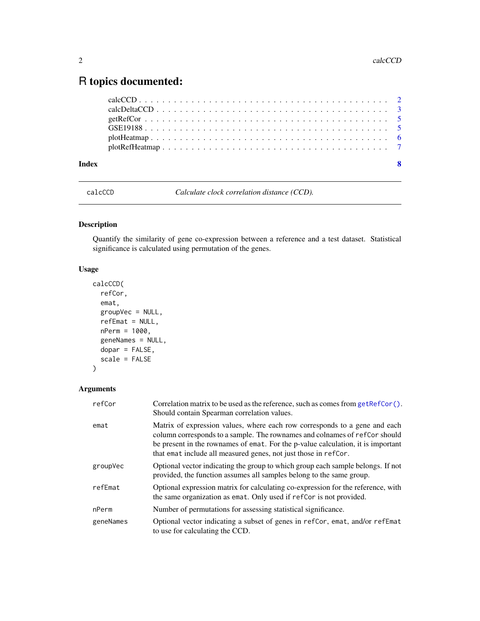## <span id="page-1-0"></span>R topics documented:

| Index | -8 |
|-------|----|
|       |    |
|       |    |
|       |    |
|       |    |
|       |    |
|       |    |

<span id="page-1-1"></span>calcCCD *Calculate clock correlation distance (CCD).*

### Description

Quantify the similarity of gene co-expression between a reference and a test dataset. Statistical significance is calculated using permutation of the genes.

#### Usage

```
calcCCD(
  refCor,
 emat,
 groupVec = NULL,
 refEmat = NULL,
 nPerm = 1000,
  geneNames = NULL,
  dopar = FALSE,
  scale = FALSE
)
```
#### Arguments

| refCor    | Correlation matrix to be used as the reference, such as comes from $getRefCor()$ .<br>Should contain Spearman correlation values.                                                                                                                                                                               |
|-----------|-----------------------------------------------------------------------------------------------------------------------------------------------------------------------------------------------------------------------------------------------------------------------------------------------------------------|
| emat      | Matrix of expression values, where each row corresponds to a gene and each<br>column corresponds to a sample. The rownames and colnames of refCor should<br>be present in the rownames of emat. For the p-value calculation, it is important<br>that emat include all measured genes, not just those in refCor. |
| groupVec  | Optional vector indicating the group to which group each sample belongs. If not<br>provided, the function assumes all samples belong to the same group.                                                                                                                                                         |
| refEmat   | Optional expression matrix for calculating co-expression for the reference, with<br>the same organization as emat. Only used if refers is not provided.                                                                                                                                                         |
| nPerm     | Number of permutations for assessing statistical significance.                                                                                                                                                                                                                                                  |
| geneNames | Optional vector indicating a subset of genes in refCor, emat, and/or refEmat<br>to use for calculating the CCD.                                                                                                                                                                                                 |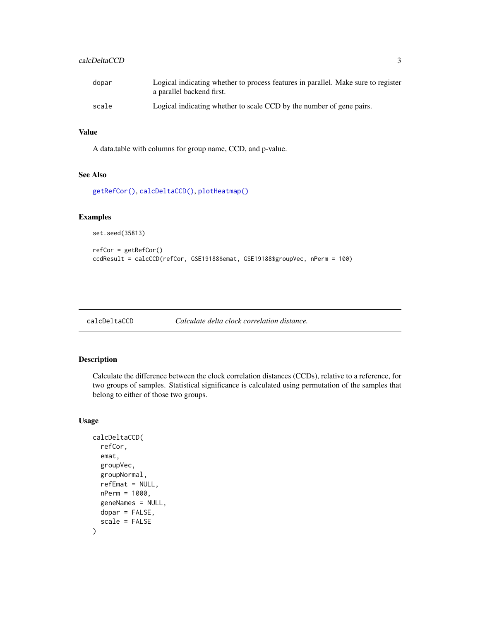#### <span id="page-2-0"></span>calcDeltaCCD 3

| dopar | Logical indicating whether to process features in parallel. Make sure to register<br>a parallel backend first. |
|-------|----------------------------------------------------------------------------------------------------------------|
| scale | Logical indicating whether to scale CCD by the number of gene pairs.                                           |

#### Value

A data.table with columns for group name, CCD, and p-value.

#### See Also

[getRefCor\(\)](#page-4-1), [calcDeltaCCD\(\)](#page-2-1), [plotHeatmap\(\)](#page-5-1)

#### Examples

set.seed(35813)

```
refCor = getRefCor()
ccdResult = calcCCD(refCor, GSE19188$emat, GSE19188$groupVec, nPerm = 100)
```
<span id="page-2-1"></span>calcDeltaCCD *Calculate delta clock correlation distance.*

#### Description

Calculate the difference between the clock correlation distances (CCDs), relative to a reference, for two groups of samples. Statistical significance is calculated using permutation of the samples that belong to either of those two groups.

#### Usage

```
calcDeltaCCD(
  refCor,
  emat,
  groupVec,
  groupNormal,
  refEmat = NULL,nPerm = 1000,
  geneNames = NULL,
  dopar = FALSE,
  scale = FALSE
\mathcal{E}
```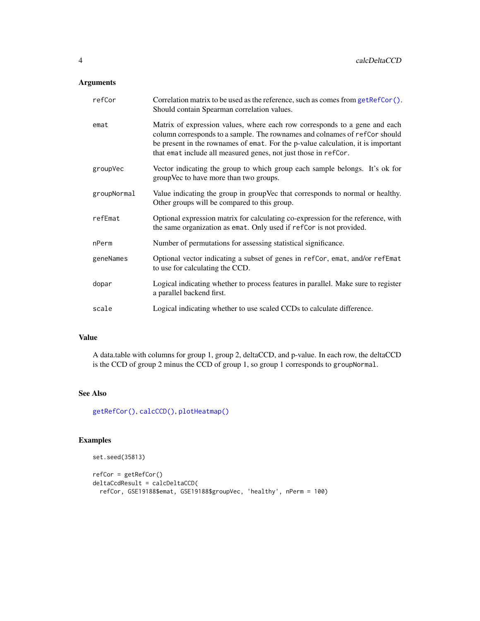#### <span id="page-3-0"></span>Arguments

| refCor      | Correlation matrix to be used as the reference, such as comes from getRefCor().<br>Should contain Spearman correlation values.                                                                                                                                                                                  |
|-------------|-----------------------------------------------------------------------------------------------------------------------------------------------------------------------------------------------------------------------------------------------------------------------------------------------------------------|
| emat        | Matrix of expression values, where each row corresponds to a gene and each<br>column corresponds to a sample. The rownames and colnames of refCor should<br>be present in the rownames of emat. For the p-value calculation, it is important<br>that emat include all measured genes, not just those in refCor. |
| groupVec    | Vector indicating the group to which group each sample belongs. It's ok for<br>groupVec to have more than two groups.                                                                                                                                                                                           |
| groupNormal | Value indicating the group in group Vec that corresponds to normal or healthy.<br>Other groups will be compared to this group.                                                                                                                                                                                  |
| refEmat     | Optional expression matrix for calculating co-expression for the reference, with<br>the same organization as emat. Only used if refCor is not provided.                                                                                                                                                         |
| nPerm       | Number of permutations for assessing statistical significance.                                                                                                                                                                                                                                                  |
| geneNames   | Optional vector indicating a subset of genes in refCor, emat, and/or refEmat<br>to use for calculating the CCD.                                                                                                                                                                                                 |
| dopar       | Logical indicating whether to process features in parallel. Make sure to register<br>a parallel backend first.                                                                                                                                                                                                  |
| scale       | Logical indicating whether to use scaled CCDs to calculate difference.                                                                                                                                                                                                                                          |

#### Value

A data.table with columns for group 1, group 2, deltaCCD, and p-value. In each row, the deltaCCD is the CCD of group 2 minus the CCD of group 1, so group 1 corresponds to groupNormal.

#### See Also

[getRefCor\(\)](#page-4-1), [calcCCD\(\)](#page-1-1), [plotHeatmap\(\)](#page-5-1)

#### Examples

```
set.seed(35813)
refCor = getRefCor()
deltaCcdResult = calcDeltaCCD(
  refCor, GSE19188$emat, GSE19188$groupVec, 'healthy', nPerm = 100)
```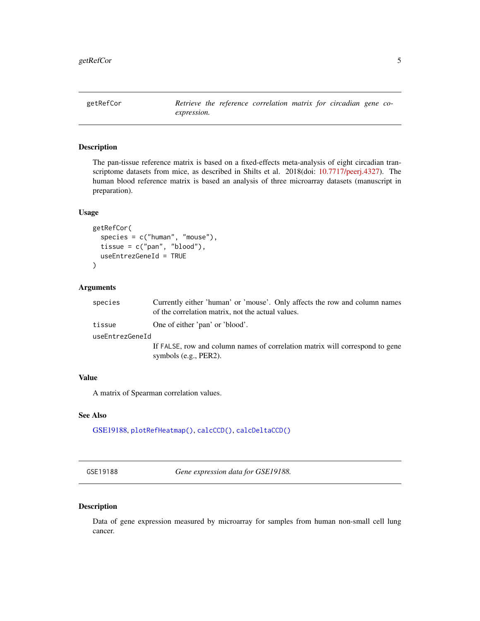<span id="page-4-1"></span><span id="page-4-0"></span>getRefCor *Retrieve the reference correlation matrix for circadian gene coexpression.*

#### Description

The pan-tissue reference matrix is based on a fixed-effects meta-analysis of eight circadian transcriptome datasets from mice, as described in Shilts et al. 2018(doi: [10.7717/peerj.4327\)](https://doi.org/10.7717/peerj.4327). The human blood reference matrix is based an analysis of three microarray datasets (manuscript in preparation).

#### Usage

```
getRefCor(
  species = c("human", "mouse"),
  tissue = c("pan", "blood"),
  useEntrezGeneId = TRUE
\lambda
```
#### Arguments

| species         | Currently either 'human' or 'mouse'. Only affects the row and column names<br>of the correlation matrix, not the actual values. |
|-----------------|---------------------------------------------------------------------------------------------------------------------------------|
| tissue          | One of either 'pan' or 'blood'.                                                                                                 |
| useEntrezGeneId |                                                                                                                                 |
|                 | If FALSE, row and column names of correlation matrix will correspond to gene                                                    |
|                 | symbols $(e.g., PER2)$ .                                                                                                        |

#### Value

A matrix of Spearman correlation values.

#### See Also

[GSE19188,](#page-4-2) [plotRefHeatmap\(\)](#page-6-1), [calcCCD\(\)](#page-1-1), [calcDeltaCCD\(\)](#page-2-1)

<span id="page-4-2"></span>GSE19188 *Gene expression data for GSE19188.*

#### Description

Data of gene expression measured by microarray for samples from human non-small cell lung cancer.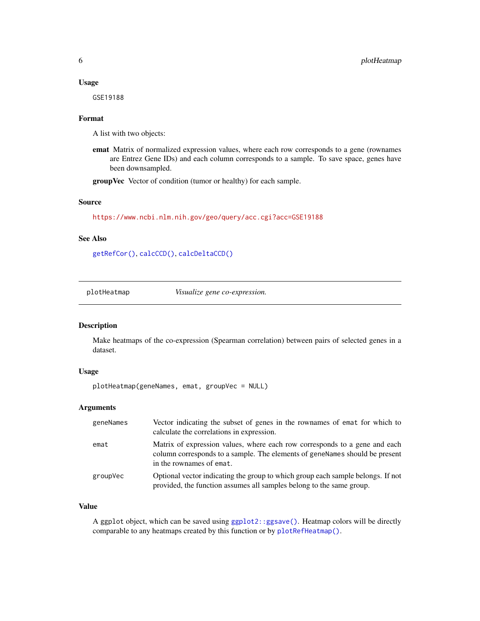#### <span id="page-5-0"></span>Usage

GSE19188

#### Format

A list with two objects:

emat Matrix of normalized expression values, where each row corresponds to a gene (rownames are Entrez Gene IDs) and each column corresponds to a sample. To save space, genes have been downsampled.

groupVec Vector of condition (tumor or healthy) for each sample.

#### Source

<https://www.ncbi.nlm.nih.gov/geo/query/acc.cgi?acc=GSE19188>

#### See Also

[getRefCor\(\)](#page-4-1), [calcCCD\(\)](#page-1-1), [calcDeltaCCD\(\)](#page-2-1)

<span id="page-5-1"></span>plotHeatmap *Visualize gene co-expression.*

#### Description

Make heatmaps of the co-expression (Spearman correlation) between pairs of selected genes in a dataset.

#### Usage

plotHeatmap(geneNames, emat, groupVec = NULL)

#### Arguments

| geneNames | Vector indicating the subset of genes in the rownames of emat for which to<br>calculate the correlations in expression.                                                               |
|-----------|---------------------------------------------------------------------------------------------------------------------------------------------------------------------------------------|
| emat      | Matrix of expression values, where each row corresponds to a gene and each<br>column corresponds to a sample. The elements of geneNames should be present<br>in the rownames of emat. |
| groupVec  | Optional vector indicating the group to which group each sample belongs. If not<br>provided, the function assumes all samples belong to the same group.                               |

#### Value

A ggplot object, which can be saved using [ggplot2::ggsave\(\)](#page-0-0). Heatmap colors will be directly comparable to any heatmaps created by this function or by [plotRefHeatmap\(\)](#page-6-1).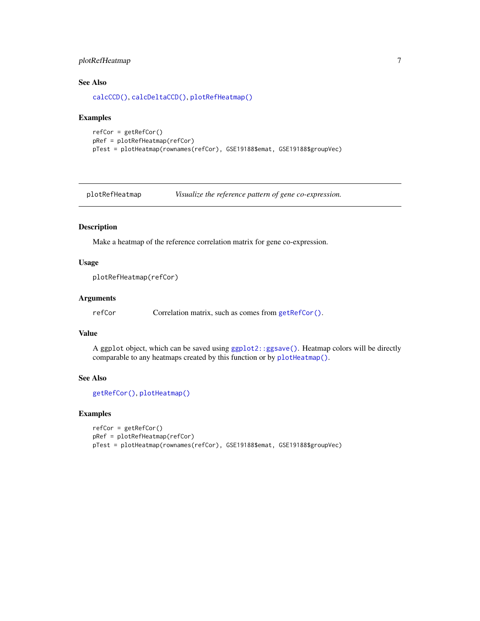#### <span id="page-6-0"></span>plotRefHeatmap 7

#### See Also

[calcCCD\(\)](#page-1-1), [calcDeltaCCD\(\)](#page-2-1), [plotRefHeatmap\(\)](#page-6-1)

#### Examples

```
refCor = getRefCor()
pRef = plotRefHeatmap(refCor)
pTest = plotHeatmap(rownames(refCor), GSE19188$emat, GSE19188$groupVec)
```
<span id="page-6-1"></span>plotRefHeatmap *Visualize the reference pattern of gene co-expression.*

#### Description

Make a heatmap of the reference correlation matrix for gene co-expression.

#### Usage

```
plotRefHeatmap(refCor)
```
#### Arguments

refCor Correlation matrix, such as comes from [getRefCor\(\)](#page-4-1).

#### Value

A ggplot object, which can be saved using [ggplot2::ggsave\(\)](#page-0-0). Heatmap colors will be directly comparable to any heatmaps created by this function or by [plotHeatmap\(\)](#page-5-1).

#### See Also

```
getRefCor(), plotHeatmap()
```
#### Examples

```
refCor = getRefCor()
pRef = plotRefHeatmap(refCor)
pTest = plotHeatmap(rownames(refCor), GSE19188$emat, GSE19188$groupVec)
```